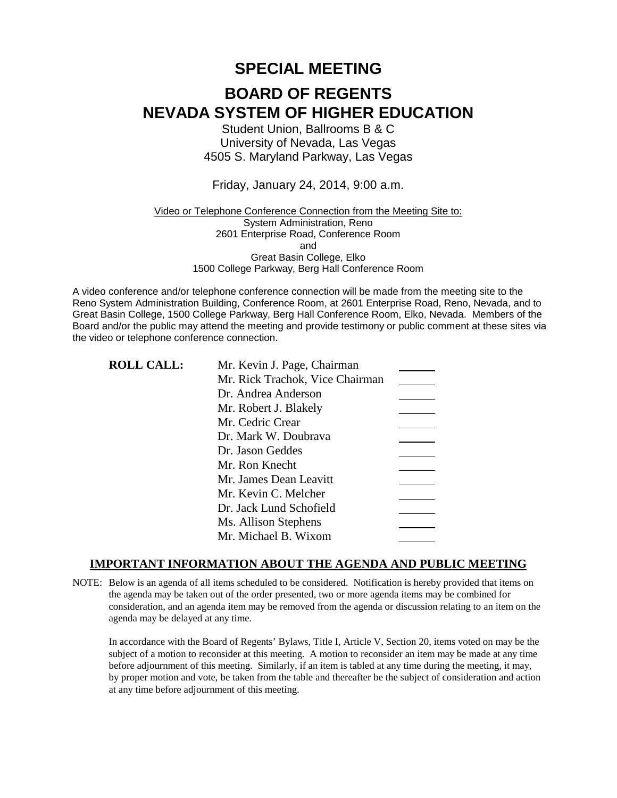# **SPECIAL MEETING**

# **BOARD OF REGENTS NEVADA SYSTEM OF HIGHER EDUCATION**

Student Union, Ballrooms B & C University of Nevada, Las Vegas 4505 S. Maryland Parkway, Las Vegas

### Friday, January 24, 2014, 9:00 a.m.

### Video or Telephone Conference Connection from the Meeting Site to: System Administration, Reno 2601 Enterprise Road, Conference Room and Great Basin College, Elko 1500 College Parkway, Berg Hall Conference Room

A video conference and/or telephone conference connection will be made from the meeting site to the Reno System Administration Building, Conference Room, at 2601 Enterprise Road, Reno, Nevada, and to Great Basin College, 1500 College Parkway, Berg Hall Conference Room, Elko, Nevada. Members of the Board and/or the public may attend the meeting and provide testimony or public comment at these sites via the video or telephone conference connection.

| <b>ROLL CALL:</b> | Mr. Kevin J. Page, Chairman     |  |
|-------------------|---------------------------------|--|
|                   | Mr. Rick Trachok, Vice Chairman |  |
|                   | Dr. Andrea Anderson             |  |
|                   | Mr. Robert J. Blakely           |  |
|                   | Mr. Cedric Crear                |  |
|                   | Dr. Mark W. Doubrava            |  |
|                   | Dr. Jason Geddes                |  |
|                   | Mr. Ron Knecht                  |  |
|                   | Mr. James Dean Leavitt          |  |
|                   | Mr. Kevin C. Melcher            |  |
|                   | Dr. Jack Lund Schofield         |  |
|                   | Ms. Allison Stephens            |  |
|                   | Mr. Michael B. Wixom            |  |
|                   |                                 |  |

### **IMPORTANT INFORMATION ABOUT THE AGENDA AND PUBLIC MEETING**

NOTE: Below is an agenda of all items scheduled to be considered. Notification is hereby provided that items on the agenda may be taken out of the order presented, two or more agenda items may be combined for consideration, and an agenda item may be removed from the agenda or discussion relating to an item on the agenda may be delayed at any time.

In accordance with the Board of Regents' Bylaws, Title I, Article V, Section 20, items voted on may be the subject of a motion to reconsider at this meeting. A motion to reconsider an item may be made at any time before adjournment of this meeting. Similarly, if an item is tabled at any time during the meeting, it may, by proper motion and vote, be taken from the table and thereafter be the subject of consideration and action at any time before adjournment of this meeting.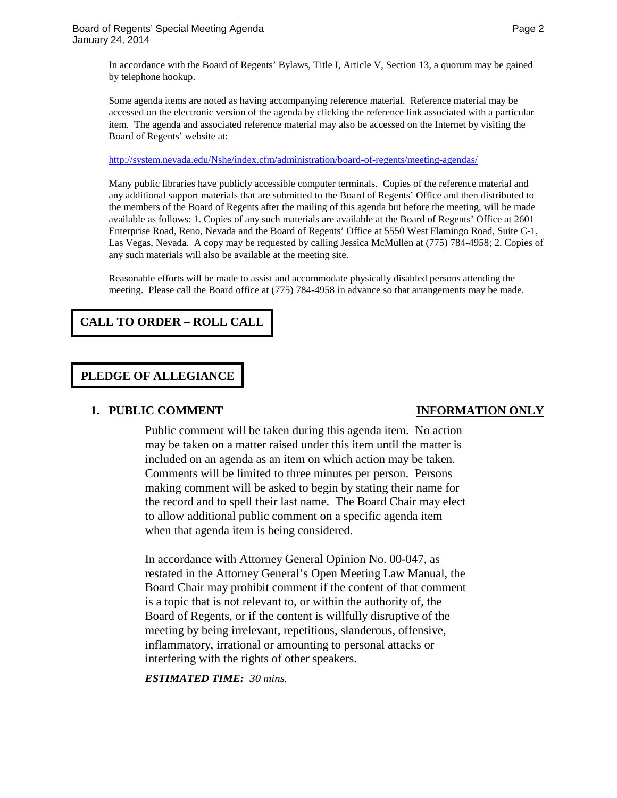In accordance with the Board of Regents' Bylaws, Title I, Article V, Section 13, a quorum may be gained by telephone hookup.

Some agenda items are noted as having accompanying reference material. Reference material may be accessed on the electronic version of the agenda by clicking the reference link associated with a particular item. The agenda and associated reference material may also be accessed on the Internet by visiting the Board of Regents' website at:

<http://system.nevada.edu/Nshe/index.cfm/administration/board-of-regents/meeting-agendas/>

Many public libraries have publicly accessible computer terminals. Copies of the reference material and any additional support materials that are submitted to the Board of Regents' Office and then distributed to the members of the Board of Regents after the mailing of this agenda but before the meeting, will be made available as follows: 1. Copies of any such materials are available at the Board of Regents' Office at 2601 Enterprise Road, Reno, Nevada and the Board of Regents' Office at 5550 West Flamingo Road, Suite C-1, Las Vegas, Nevada. A copy may be requested by calling Jessica McMullen at (775) 784-4958; 2. Copies of any such materials will also be available at the meeting site.

Reasonable efforts will be made to assist and accommodate physically disabled persons attending the meeting. Please call the Board office at  $(775)$  784-4958 in advance so that arrangements may be made.

# **CALL TO ORDER – ROLL CALL**

# **PLEDGE OF ALLEGIANCE**

### **1. PUBLIC COMMENT INFORMATION ONLY**

Public comment will be taken during this agenda item. No action may be taken on a matter raised under this item until the matter is included on an agenda as an item on which action may be taken. Comments will be limited to three minutes per person. Persons making comment will be asked to begin by stating their name for the record and to spell their last name. The Board Chair may elect to allow additional public comment on a specific agenda item when that agenda item is being considered.

In accordance with Attorney General Opinion No. 00-047, as restated in the Attorney General's Open Meeting Law Manual, the Board Chair may prohibit comment if the content of that comment is a topic that is not relevant to, or within the authority of, the Board of Regents, or if the content is willfully disruptive of the meeting by being irrelevant, repetitious, slanderous, offensive, inflammatory, irrational or amounting to personal attacks or interfering with the rights of other speakers.

*ESTIMATED TIME: 30 mins.*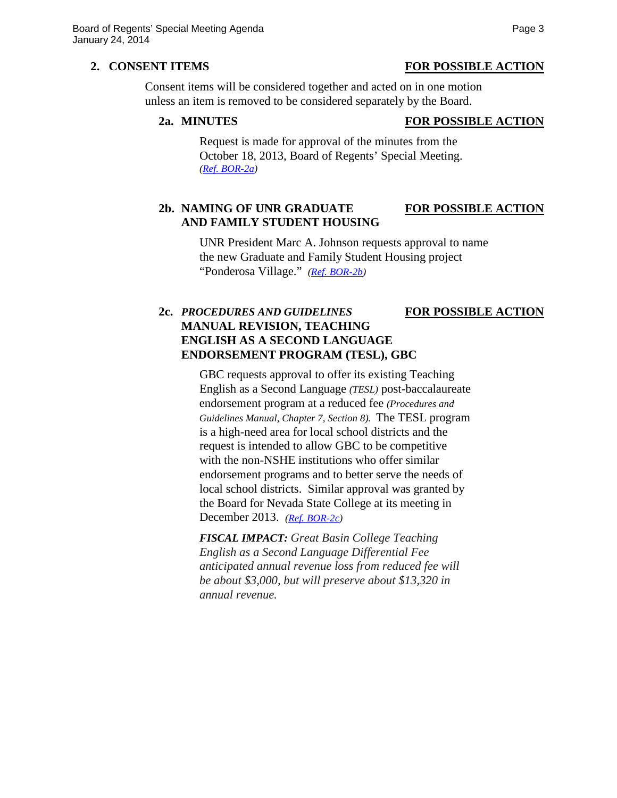### **2. CONSENT ITEMS FOR POSSIBLE ACTION**

Consent items will be considered together and acted on in one motion unless an item is removed to be considered separately by the Board.

### **2a. MINUTES FOR POSSIBLE ACTION**

Request is made for approval of the minutes from the October 18, 2013, Board of Regents' Special Meeting. *[\(Ref. BOR-2a\)](http://system.nevada.edu/tasks/sites/Nshe/assets/File/BoardOfRegents/Agendas/2014/jan-mtgs/bor-refs/BOR-2a.pdf)*

# **2b. NAMING OF UNR GRADUATE FOR POSSIBLE ACTION AND FAMILY STUDENT HOUSING**

UNR President Marc A. Johnson requests approval to name the new Graduate and Family Student Housing project "Ponderosa Village." *[\(Ref. BOR-2b\)](http://system.nevada.edu/tasks/sites/Nshe/assets/File/BoardOfRegents/Agendas/2014/jan-mtgs/bor-refs/BOR-2b.pdf)*

## **2c.** *PROCEDURES AND GUIDELINES* **FOR POSSIBLE ACTION MANUAL REVISION, TEACHING ENGLISH AS A SECOND LANGUAGE ENDORSEMENT PROGRAM (TESL), GBC**

GBC requests approval to offer its existing Teaching English as a Second Language *(TESL)* post-baccalaureate endorsement program at a reduced fee *(Procedures and Guidelines Manual, Chapter 7, Section 8).* The TESL program is a high-need area for local school districts and the request is intended to allow GBC to be competitive with the non-NSHE institutions who offer similar endorsement programs and to better serve the needs of local school districts. Similar approval was granted by the Board for Nevada State College at its meeting in December 2013. *[\(Ref. BOR-2c\)](http://system.nevada.edu/tasks/sites/Nshe/assets/File/BoardOfRegents/Agendas/2014/jan-mtgs/bor-refs/BOR-2c.pdf)*

*FISCAL IMPACT: Great Basin College Teaching English as a Second Language Differential Fee anticipated annual revenue loss from reduced fee will be about \$3,000, but will preserve about \$13,320 in annual revenue.*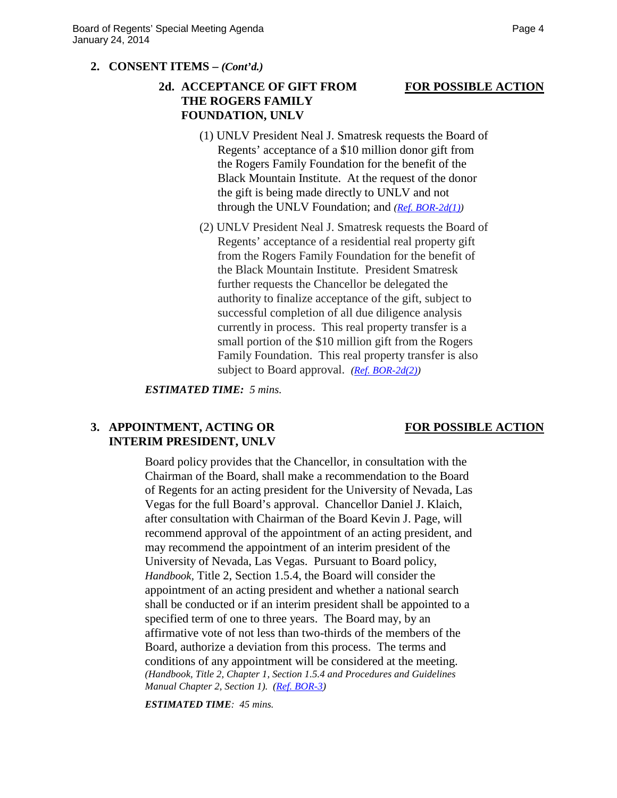### **2. CONSENT ITEMS –** *(Cont'd.)*

# **2d. ACCEPTANCE OF GIFT FROM FOR POSSIBLE ACTION THE ROGERS FAMILY FOUNDATION, UNLV**

- (1) UNLV President Neal J. Smatresk requests the Board of Regents' acceptance of a \$10 million donor gift from the Rogers Family Foundation for the benefit of the Black Mountain Institute. At the request of the donor the gift is being made directly to UNLV and not through the UNLV Foundation; and *[\(Ref. BOR-2d\(1\)\)](http://system.nevada.edu/tasks/sites/Nshe/assets/File/BoardOfRegents/Agendas/2014/jan-mtgs/bor-refs/BOR-2d1.pdf)*
- (2) UNLV President Neal J. Smatresk requests the Board of Regents' acceptance of a residential real property gift from the Rogers Family Foundation for the benefit of the Black Mountain Institute. President Smatresk further requests the Chancellor be delegated the authority to finalize acceptance of the gift, subject to successful completion of all due diligence analysis currently in process. This real property transfer is a small portion of the \$10 million gift from the Rogers Family Foundation. This real property transfer is also subject to Board approval. *[\(Ref. BOR-2d\(2\)\)](http://system.nevada.edu/tasks/sites/Nshe/assets/File/BoardOfRegents/Agendas/2014/jan-mtgs/bor-refs/BOR-2d2.pdf)*

*ESTIMATED TIME: 5 mins.*

### **3. APPOINTMENT, ACTING OR FOR POSSIBLE ACTION**

# **INTERIM PRESIDENT, UNLV**

Board policy provides that the Chancellor, in consultation with the Chairman of the Board, shall make a recommendation to the Board of Regents for an acting president for the University of Nevada, Las Vegas for the full Board's approval. Chancellor Daniel J. Klaich, after consultation with Chairman of the Board Kevin J. Page, will recommend approval of the appointment of an acting president, and may recommend the appointment of an interim president of the University of Nevada, Las Vegas. Pursuant to Board policy, *Handbook,* Title 2, Section 1.5.4, the Board will consider the appointment of an acting president and whether a national search shall be conducted or if an interim president shall be appointed to a specified term of one to three years. The Board may, by an affirmative vote of not less than two-thirds of the members of the Board, authorize a deviation from this process. The terms and conditions of any appointment will be considered at the meeting. *(Handbook, Title 2, Chapter 1, Section 1.5.4 and Procedures and Guidelines Manual Chapter 2, Section 1). [\(Ref. BOR-3\)](http://system.nevada.edu/tasks/sites/Nshe/assets/File/BoardOfRegents/Agendas/2014/jan-mtgs/bor-refs/BOR-3.pdf)*

*ESTIMATED TIME: 45 mins.*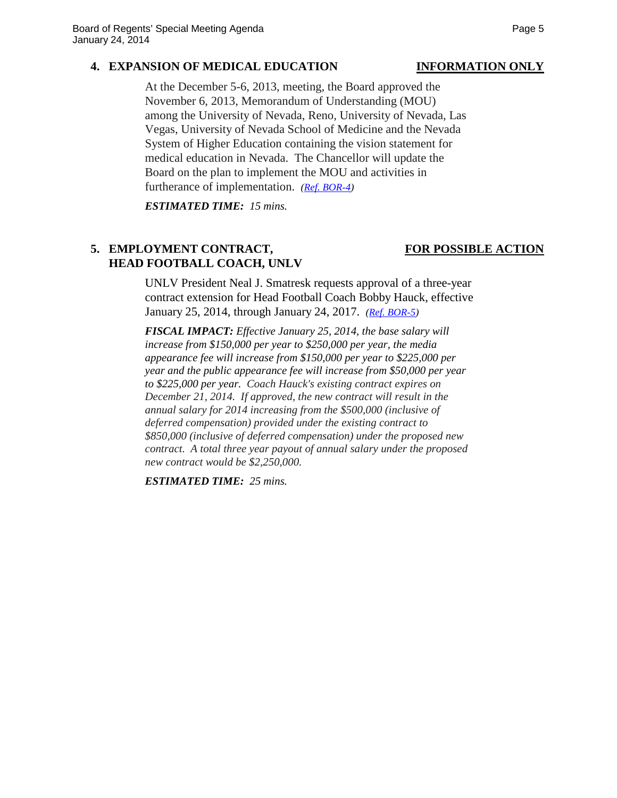### **4. EXPANSION OF MEDICAL EDUCATION INFORMATION ONLY**

At the December 5-6, 2013, meeting, the Board approved the November 6, 2013, Memorandum of Understanding (MOU) among the University of Nevada, Reno, University of Nevada, Las Vegas, University of Nevada School of Medicine and the Nevada System of Higher Education containing the vision statement for medical education in Nevada. The Chancellor will update the Board on the plan to implement the MOU and activities in furtherance of implementation. *[\(Ref. BOR-4\)](http://system.nevada.edu/tasks/sites/Nshe/assets/File/BoardOfRegents/Agendas/2014/jan-mtgs/bor-refs/BOR-4.pdf)*

*ESTIMATED TIME: 15 mins.*

# 5. **EMPLOYMENT CONTRACT, FOR POSSIBLE ACTION HEAD FOOTBALL COACH, UNLV**

### UNLV President Neal J. Smatresk requests approval of a three-year contract extension for Head Football Coach Bobby Hauck, effective January 25, 2014, through January 24, 2017. *[\(Ref. BOR-5\)](http://system.nevada.edu/tasks/sites/Nshe/assets/File/BoardOfRegents/Agendas/2014/jan-mtgs/bor-refs/BOR-5.pdf)*

*FISCAL IMPACT: Effective January 25, 2014, the base salary will increase from \$150,000 per year to \$250,000 per year, the media appearance fee will increase from \$150,000 per year to \$225,000 per year and the public appearance fee will increase from \$50,000 per year to \$225,000 per year. Coach Hauck's existing contract expires on December 21, 2014. If approved, the new contract will result in the annual salary for 2014 increasing from the \$500,000 (inclusive of deferred compensation) provided under the existing contract to \$850,000 (inclusive of deferred compensation) under the proposed new contract. A total three year payout of annual salary under the proposed new contract would be \$2,250,000.*

*ESTIMATED TIME: 25 mins.*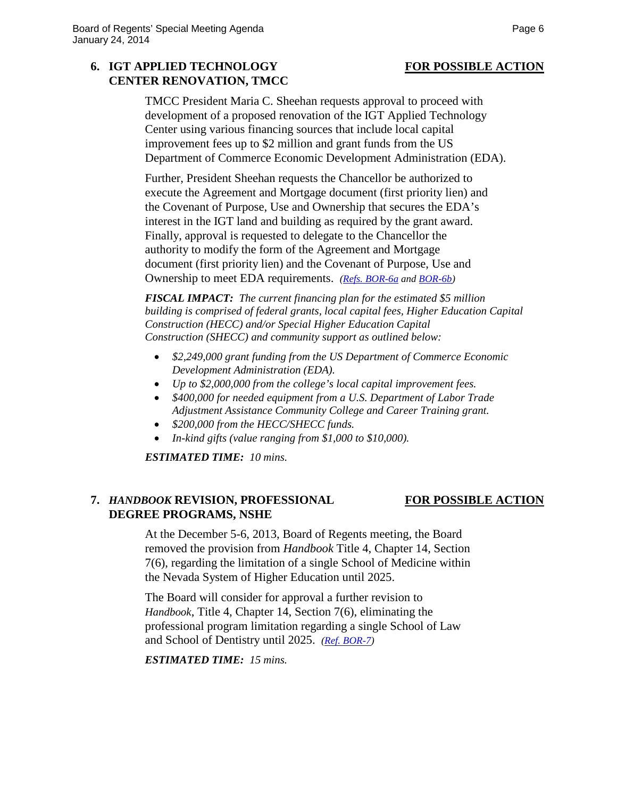# **6. IGT APPLIED TECHNOLOGY FOR POSSIBLE ACTION CENTER RENOVATION, TMCC**

TMCC President Maria C. Sheehan requests approval to proceed with development of a proposed renovation of the IGT Applied Technology Center using various financing sources that include local capital improvement fees up to \$2 million and grant funds from the US Department of Commerce Economic Development Administration (EDA).

Further, President Sheehan requests the Chancellor be authorized to execute the Agreement and Mortgage document (first priority lien) and the Covenant of Purpose, Use and Ownership that secures the EDA's interest in the IGT land and building as required by the grant award. Finally, approval is requested to delegate to the Chancellor the authority to modify the form of the Agreement and Mortgage document (first priority lien) and the Covenant of Purpose, Use and Ownership to meet EDA requirements. *[\(Refs. BOR-6a](http://system.nevada.edu/tasks/sites/Nshe/assets/File/BoardOfRegents/Agendas/2014/jan-mtgs/bor-refs/BOR-6a.pdf) and [BOR-6b\)](http://system.nevada.edu/tasks/sites/Nshe/assets/File/BoardOfRegents/Agendas/2014/jan-mtgs/bor-refs/BOR-6b.pdf)*

*FISCAL IMPACT: The current financing plan for the estimated \$5 million building is comprised of federal grants, local capital fees, Higher Education Capital Construction (HECC) and/or Special Higher Education Capital Construction (SHECC) and community support as outlined below:*

- *\$2,249,000 grant funding from the US Department of Commerce Economic Development Administration (EDA).*
- *Up to \$2,000,000 from the college's local capital improvement fees.*
- *\$400,000 for needed equipment from a U.S. Department of Labor Trade Adjustment Assistance Community College and Career Training grant.*
- *\$200,000 from the HECC/SHECC funds.*
- *In-kind gifts (value ranging from \$1,000 to \$10,000).*

*ESTIMATED TIME: 10 mins.*

# **7.** *HANDBOOK* **REVISION, PROFESSIONAL FOR POSSIBLE ACTION DEGREE PROGRAMS, NSHE**

At the December 5-6, 2013, Board of Regents meeting, the Board removed the provision from *Handbook* Title 4, Chapter 14, Section 7(6), regarding the limitation of a single School of Medicine within the Nevada System of Higher Education until 2025.

The Board will consider for approval a further revision to *Handbook*, Title 4, Chapter 14, Section 7(6), eliminating the professional program limitation regarding a single School of Law and School of Dentistry until 2025. *[\(Ref. BOR-7\)](http://system.nevada.edu/tasks/sites/Nshe/assets/File/BoardOfRegents/Agendas/2014/jan-mtgs/bor-refs/BOR-7.pdf)*

*ESTIMATED TIME: 15 mins.*